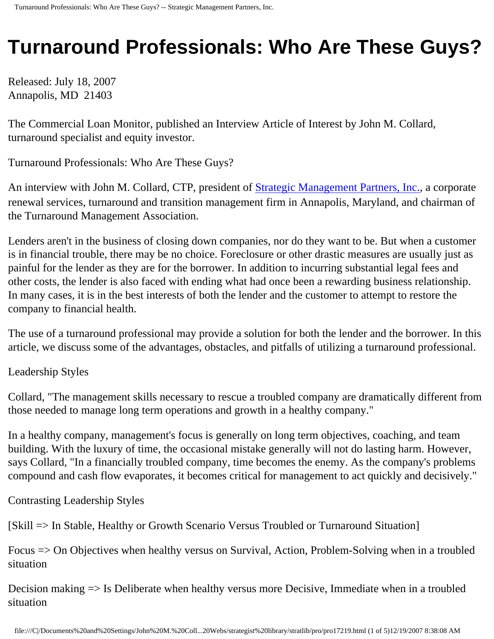# **Turnaround Professionals: Who Are These Guys?**

Released: July 18, 2007 Annapolis, MD 21403

The Commercial Loan Monitor, published an Interview Article of Interest by John M. Collard, turnaround specialist and equity investor.

Turnaround Professionals: Who Are These Guys?

An interview with John M. Collard, CTP, president of **Strategic Management Partners**, Inc., a corporate renewal services, turnaround and transition management firm in Annapolis, Maryland, and chairman of the Turnaround Management Association.

Lenders aren't in the business of closing down companies, nor do they want to be. But when a customer is in financial trouble, there may be no choice. Foreclosure or other drastic measures are usually just as painful for the lender as they are for the borrower. In addition to incurring substantial legal fees and other costs, the lender is also faced with ending what had once been a rewarding business relationship. In many cases, it is in the best interests of both the lender and the customer to attempt to restore the company to financial health.

The use of a turnaround professional may provide a solution for both the lender and the borrower. In this article, we discuss some of the advantages, obstacles, and pitfalls of utilizing a turnaround professional.

Leadership Styles

Collard, "The management skills necessary to rescue a troubled company are dramatically different from those needed to manage long term operations and growth in a healthy company."

In a healthy company, management's focus is generally on long term objectives, coaching, and team building. With the luxury of time, the occasional mistake generally will not do lasting harm. However, says Collard, "In a financially troubled company, time becomes the enemy. As the company's problems compound and cash flow evaporates, it becomes critical for management to act quickly and decisively."

Contrasting Leadership Styles

[Skill => In Stable, Healthy or Growth Scenario Versus Troubled or Turnaround Situation]

Focus => On Objectives when healthy versus on Survival, Action, Problem-Solving when in a troubled situation

Decision making => Is Deliberate when healthy versus more Decisive, Immediate when in a troubled situation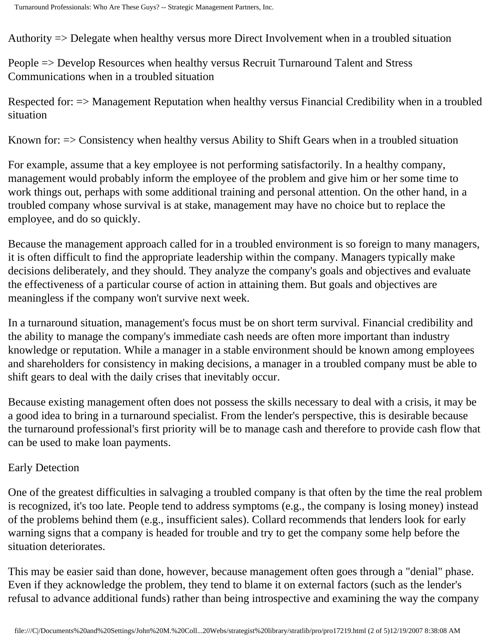Authority => Delegate when healthy versus more Direct Involvement when in a troubled situation

People => Develop Resources when healthy versus Recruit Turnaround Talent and Stress Communications when in a troubled situation

Respected for: => Management Reputation when healthy versus Financial Credibility when in a troubled situation

Known for: => Consistency when healthy versus Ability to Shift Gears when in a troubled situation

For example, assume that a key employee is not performing satisfactorily. In a healthy company, management would probably inform the employee of the problem and give him or her some time to work things out, perhaps with some additional training and personal attention. On the other hand, in a troubled company whose survival is at stake, management may have no choice but to replace the employee, and do so quickly.

Because the management approach called for in a troubled environment is so foreign to many managers, it is often difficult to find the appropriate leadership within the company. Managers typically make decisions deliberately, and they should. They analyze the company's goals and objectives and evaluate the effectiveness of a particular course of action in attaining them. But goals and objectives are meaningless if the company won't survive next week.

In a turnaround situation, management's focus must be on short term survival. Financial credibility and the ability to manage the company's immediate cash needs are often more important than industry knowledge or reputation. While a manager in a stable environment should be known among employees and shareholders for consistency in making decisions, a manager in a troubled company must be able to shift gears to deal with the daily crises that inevitably occur.

Because existing management often does not possess the skills necessary to deal with a crisis, it may be a good idea to bring in a turnaround specialist. From the lender's perspective, this is desirable because the turnaround professional's first priority will be to manage cash and therefore to provide cash flow that can be used to make loan payments.

## Early Detection

One of the greatest difficulties in salvaging a troubled company is that often by the time the real problem is recognized, it's too late. People tend to address symptoms (e.g., the company is losing money) instead of the problems behind them (e.g., insufficient sales). Collard recommends that lenders look for early warning signs that a company is headed for trouble and try to get the company some help before the situation deteriorates.

This may be easier said than done, however, because management often goes through a "denial" phase. Even if they acknowledge the problem, they tend to blame it on external factors (such as the lender's refusal to advance additional funds) rather than being introspective and examining the way the company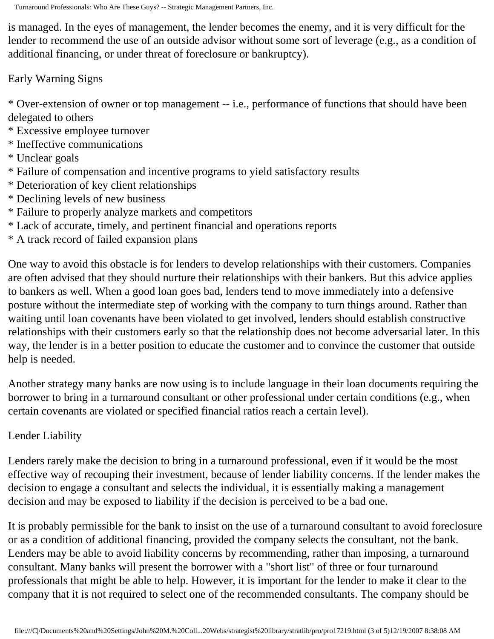is managed. In the eyes of management, the lender becomes the enemy, and it is very difficult for the lender to recommend the use of an outside advisor without some sort of leverage (e.g., as a condition of additional financing, or under threat of foreclosure or bankruptcy).

Early Warning Signs

\* Over-extension of owner or top management -- i.e., performance of functions that should have been delegated to others

- \* Excessive employee turnover
- \* Ineffective communications
- \* Unclear goals
- \* Failure of compensation and incentive programs to yield satisfactory results
- \* Deterioration of key client relationships
- \* Declining levels of new business
- \* Failure to properly analyze markets and competitors
- \* Lack of accurate, timely, and pertinent financial and operations reports
- \* A track record of failed expansion plans

One way to avoid this obstacle is for lenders to develop relationships with their customers. Companies are often advised that they should nurture their relationships with their bankers. But this advice applies to bankers as well. When a good loan goes bad, lenders tend to move immediately into a defensive posture without the intermediate step of working with the company to turn things around. Rather than waiting until loan covenants have been violated to get involved, lenders should establish constructive relationships with their customers early so that the relationship does not become adversarial later. In this way, the lender is in a better position to educate the customer and to convince the customer that outside help is needed.

Another strategy many banks are now using is to include language in their loan documents requiring the borrower to bring in a turnaround consultant or other professional under certain conditions (e.g., when certain covenants are violated or specified financial ratios reach a certain level).

## Lender Liability

Lenders rarely make the decision to bring in a turnaround professional, even if it would be the most effective way of recouping their investment, because of lender liability concerns. If the lender makes the decision to engage a consultant and selects the individual, it is essentially making a management decision and may be exposed to liability if the decision is perceived to be a bad one.

It is probably permissible for the bank to insist on the use of a turnaround consultant to avoid foreclosure or as a condition of additional financing, provided the company selects the consultant, not the bank. Lenders may be able to avoid liability concerns by recommending, rather than imposing, a turnaround consultant. Many banks will present the borrower with a "short list" of three or four turnaround professionals that might be able to help. However, it is important for the lender to make it clear to the company that it is not required to select one of the recommended consultants. The company should be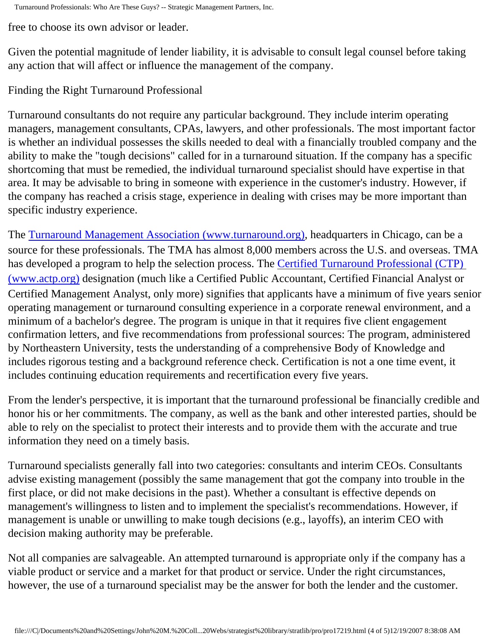free to choose its own advisor or leader.

Given the potential magnitude of lender liability, it is advisable to consult legal counsel before taking any action that will affect or influence the management of the company.

## Finding the Right Turnaround Professional

Turnaround consultants do not require any particular background. They include interim operating managers, management consultants, CPAs, lawyers, and other professionals. The most important factor is whether an individual possesses the skills needed to deal with a financially troubled company and the ability to make the "tough decisions" called for in a turnaround situation. If the company has a specific shortcoming that must be remedied, the individual turnaround specialist should have expertise in that area. It may be advisable to bring in someone with experience in the customer's industry. However, if the company has reached a crisis stage, experience in dealing with crises may be more important than specific industry experience.

The [Turnaround Management Association \(www.turnaround.org\),](http://www.turnaround.org/) headquarters in Chicago, can be a source for these professionals. The TMA has almost 8,000 members across the U.S. and overseas. TMA has developed a program to help the selection process. The [Certified Turnaround Professional \(CTP\)](http://www.actp.com/)  [\(www.actp.org\)](http://www.actp.com/) designation (much like a Certified Public Accountant, Certified Financial Analyst or Certified Management Analyst, only more) signifies that applicants have a minimum of five years senior operating management or turnaround consulting experience in a corporate renewal environment, and a minimum of a bachelor's degree. The program is unique in that it requires five client engagement confirmation letters, and five recommendations from professional sources: The program, administered by Northeastern University, tests the understanding of a comprehensive Body of Knowledge and includes rigorous testing and a background reference check. Certification is not a one time event, it includes continuing education requirements and recertification every five years.

From the lender's perspective, it is important that the turnaround professional be financially credible and honor his or her commitments. The company, as well as the bank and other interested parties, should be able to rely on the specialist to protect their interests and to provide them with the accurate and true information they need on a timely basis.

Turnaround specialists generally fall into two categories: consultants and interim CEOs. Consultants advise existing management (possibly the same management that got the company into trouble in the first place, or did not make decisions in the past). Whether a consultant is effective depends on management's willingness to listen and to implement the specialist's recommendations. However, if management is unable or unwilling to make tough decisions (e.g., layoffs), an interim CEO with decision making authority may be preferable.

Not all companies are salvageable. An attempted turnaround is appropriate only if the company has a viable product or service and a market for that product or service. Under the right circumstances, however, the use of a turnaround specialist may be the answer for both the lender and the customer.